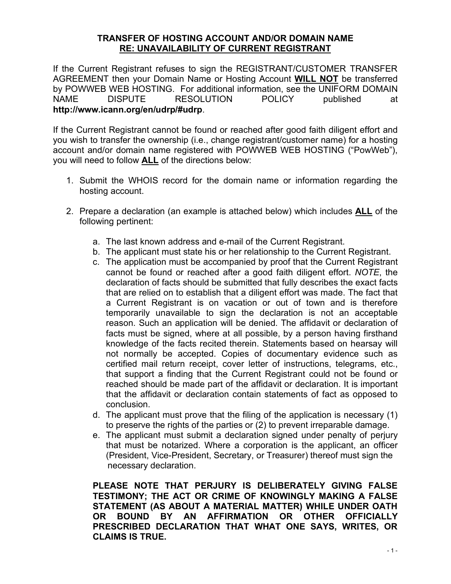#### **TRANSFER OF HOSTING ACCOUNT AND/OR DOMAIN NAME RE: UNAVAILABILITY OF CURRENT REGISTRANT**

If the Current Registrant refuses to sign the REGISTRANT/CUSTOMER TRANSFER AGREEMENT then your Domain Name or Hosting Account **WILL NOT** be transferred by POWWEB WEB HOSTING. For additional information, see the UNIFORM DOMAIN NAME DISPUTE RESOLUTION POLICY published at **http://www.icann.org/en/udrp/#udrp**.

If the Current Registrant cannot be found or reached after good faith diligent effort and you wish to transfer the ownership (i.e., change registrant/customer name) for a hosting account and/or domain name registered with POWWEB WEB HOSTING ("PowWeb"), you will need to follow **ALL** of the directions below:

- 1. Submit the WHOIS record for the domain name or information regarding the hosting account.
- 2. Prepare a declaration (an example is attached below) which includes **ALL** of the following pertinent:
	- a. The last known address and e-mail of the Current Registrant.
	- b. The applicant must state his or her relationship to the Current Registrant.
	- c. The application must be accompanied by proof that the Current Registrant cannot be found or reached after a good faith diligent effort. *NOTE*, the declaration of facts should be submitted that fully describes the exact facts that are relied on to establish that a diligent effort was made. The fact that a Current Registrant is on vacation or out of town and is therefore temporarily unavailable to sign the declaration is not an acceptable reason. Such an application will be denied. The affidavit or declaration of facts must be signed, where at all possible, by a person having firsthand knowledge of the facts recited therein. Statements based on hearsay will not normally be accepted. Copies of documentary evidence such as certified mail return receipt, cover letter of instructions, telegrams, etc., that support a finding that the Current Registrant could not be found or reached should be made part of the affidavit or declaration. It is important that the affidavit or declaration contain statements of fact as opposed to conclusion.
	- d. The applicant must prove that the filing of the application is necessary (1) to preserve the rights of the parties or (2) to prevent irreparable damage.
	- e. The applicant must submit a declaration signed under penalty of perjury that must be notarized. Where a corporation is the applicant, an officer (President, Vice-President, Secretary, or Treasurer) thereof must sign the necessary declaration.

**PLEASE NOTE THAT PERJURY IS DELIBERATELY GIVING FALSE TESTIMONY; THE ACT OR CRIME OF KNOWINGLY MAKING A FALSE STATEMENT (AS ABOUT A MATERIAL MATTER) WHILE UNDER OATH OR BOUND BY AN AFFIRMATION OR OTHER OFFICIALLY PRESCRIBED DECLARATION THAT WHAT ONE SAYS, WRITES, OR CLAIMS IS TRUE.**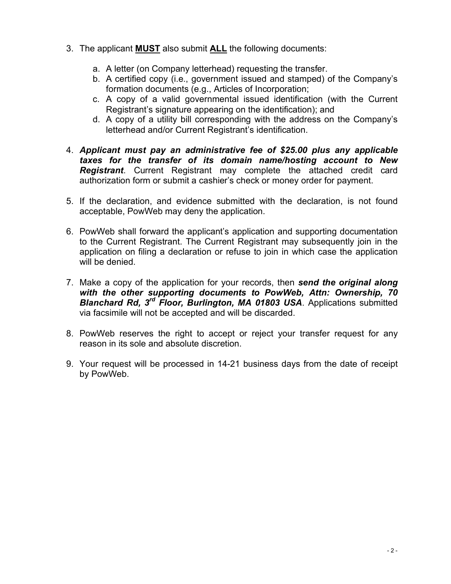- 3. The applicant **MUST** also submit **ALL** the following documents:
	- a. A letter (on Company letterhead) requesting the transfer.
	- b. A certified copy (i.e., government issued and stamped) of the Company's formation documents (e.g., Articles of Incorporation;
	- c. A copy of a valid governmental issued identification (with the Current Registrant's signature appearing on the identification); and
	- d. A copy of a utility bill corresponding with the address on the Company's letterhead and/or Current Registrant's identification.
- 4. *Applicant must pay an administrative fee of \$25.00 plus any applicable taxes for the transfer of its domain name/hosting account to New Registrant*. Current Registrant may complete the attached credit card authorization form or submit a cashier's check or money order for payment.
- 5. If the declaration, and evidence submitted with the declaration, is not found acceptable, PowWeb may deny the application.
- 6. PowWeb shall forward the applicant's application and supporting documentation to the Current Registrant. The Current Registrant may subsequently join in the application on filing a declaration or refuse to join in which case the application will be denied.
- 7. Make a copy of the application for your records, then *send the original along with the other supporting documents to PowWeb, Attn: Ownership, 70 Blanchard Rd, 3rd Floor, Burlington, MA 01803 USA*. Applications submitted via facsimile will not be accepted and will be discarded.
- 8. PowWeb reserves the right to accept or reject your transfer request for any reason in its sole and absolute discretion.
- 9. Your request will be processed in 14-21 business days from the date of receipt by PowWeb.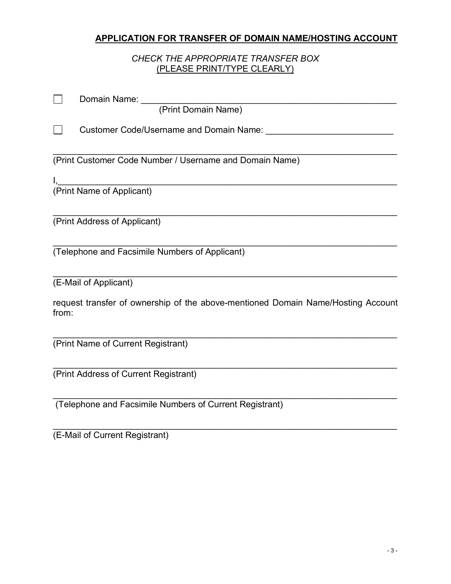# **APPLICATION FOR TRANSFER OF DOMAIN NAME/HOSTING ACCOUNT**

## *CHECK THE APPROPRIATE TRANSFER BOX* (PLEASE PRINT/TYPE CLEARLY)

| $\mathcal{L}_{\mathcal{A}}$<br>Domain Name: _____<br>(Print Domain Name)                  |
|-------------------------------------------------------------------------------------------|
| $\Box$<br><b>Customer Code/Username and Domain Name:</b>                                  |
| (Print Customer Code Number / Username and Domain Name)                                   |
|                                                                                           |
|                                                                                           |
| (Print Address of Applicant)                                                              |
| (Telephone and Facsimile Numbers of Applicant)                                            |
| (E-Mail of Applicant)                                                                     |
| request transfer of ownership of the above-mentioned Domain Name/Hosting Account<br>from: |
| (Print Name of Current Registrant)                                                        |
| (Print Address of Current Registrant)                                                     |
| (Telephone and Facsimile Numbers of Current Registrant)                                   |

(E-Mail of Current Registrant)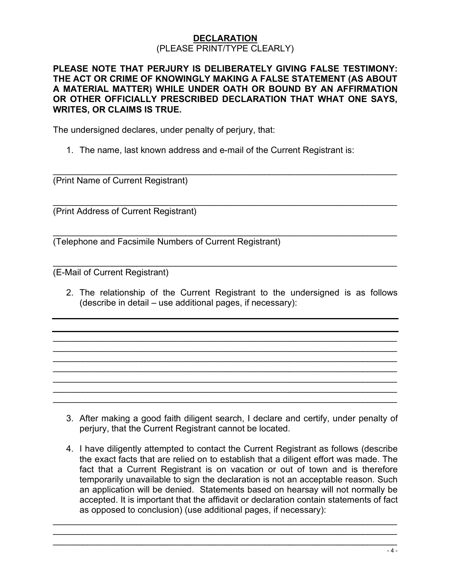### **DECLARATION** (PLEASE PRINT/TYPE CLEARLY)

### **PLEASE NOTE THAT PERJURY IS DELIBERATELY GIVING FALSE TESTIMONY: THE ACT OR CRIME OF KNOWINGLY MAKING A FALSE STATEMENT (AS ABOUT A MATERIAL MATTER) WHILE UNDER OATH OR BOUND BY AN AFFIRMATION OR OTHER OFFICIALLY PRESCRIBED DECLARATION THAT WHAT ONE SAYS, WRITES, OR CLAIMS IS TRUE.**

 $\mathcal{L}_\text{max} = \mathcal{L}_\text{max} = \mathcal{L}_\text{max} = \mathcal{L}_\text{max} = \mathcal{L}_\text{max} = \mathcal{L}_\text{max} = \mathcal{L}_\text{max} = \mathcal{L}_\text{max} = \mathcal{L}_\text{max} = \mathcal{L}_\text{max} = \mathcal{L}_\text{max} = \mathcal{L}_\text{max} = \mathcal{L}_\text{max} = \mathcal{L}_\text{max} = \mathcal{L}_\text{max} = \mathcal{L}_\text{max} = \mathcal{L}_\text{max} = \mathcal{L}_\text{max} = \mathcal{$ 

 $\mathcal{L}_\text{max} = \mathcal{L}_\text{max} = \mathcal{L}_\text{max} = \mathcal{L}_\text{max} = \mathcal{L}_\text{max} = \mathcal{L}_\text{max} = \mathcal{L}_\text{max} = \mathcal{L}_\text{max} = \mathcal{L}_\text{max} = \mathcal{L}_\text{max} = \mathcal{L}_\text{max} = \mathcal{L}_\text{max} = \mathcal{L}_\text{max} = \mathcal{L}_\text{max} = \mathcal{L}_\text{max} = \mathcal{L}_\text{max} = \mathcal{L}_\text{max} = \mathcal{L}_\text{max} = \mathcal{$ 

The undersigned declares, under penalty of perjury, that:

1. The name, last known address and e-mail of the Current Registrant is:

 $\mathcal{L}_\text{max} = \mathcal{L}_\text{max} = \mathcal{L}_\text{max} = \mathcal{L}_\text{max} = \mathcal{L}_\text{max} = \mathcal{L}_\text{max} = \mathcal{L}_\text{max} = \mathcal{L}_\text{max} = \mathcal{L}_\text{max} = \mathcal{L}_\text{max} = \mathcal{L}_\text{max} = \mathcal{L}_\text{max} = \mathcal{L}_\text{max} = \mathcal{L}_\text{max} = \mathcal{L}_\text{max} = \mathcal{L}_\text{max} = \mathcal{L}_\text{max} = \mathcal{L}_\text{max} = \mathcal{$ (Print Name of Current Registrant)

(Print Address of Current Registrant)

 $\mathcal{L}_\text{max} = \mathcal{L}_\text{max} = \mathcal{L}_\text{max} = \mathcal{L}_\text{max} = \mathcal{L}_\text{max} = \mathcal{L}_\text{max} = \mathcal{L}_\text{max} = \mathcal{L}_\text{max} = \mathcal{L}_\text{max} = \mathcal{L}_\text{max} = \mathcal{L}_\text{max} = \mathcal{L}_\text{max} = \mathcal{L}_\text{max} = \mathcal{L}_\text{max} = \mathcal{L}_\text{max} = \mathcal{L}_\text{max} = \mathcal{L}_\text{max} = \mathcal{L}_\text{max} = \mathcal{$ (Telephone and Facsimile Numbers of Current Registrant)

(E-Mail of Current Registrant)

2. The relationship of the Current Registrant to the undersigned is as follows (describe in detail – use additional pages, if necessary):

 $\mathcal{L}_\text{max}$  and  $\mathcal{L}_\text{max}$  and  $\mathcal{L}_\text{max}$  and  $\mathcal{L}_\text{max}$  and  $\mathcal{L}_\text{max}$  and  $\mathcal{L}_\text{max}$  $\mathcal{L}_\text{max} = \mathcal{L}_\text{max} = \mathcal{L}_\text{max} = \mathcal{L}_\text{max} = \mathcal{L}_\text{max} = \mathcal{L}_\text{max} = \mathcal{L}_\text{max} = \mathcal{L}_\text{max} = \mathcal{L}_\text{max} = \mathcal{L}_\text{max} = \mathcal{L}_\text{max} = \mathcal{L}_\text{max} = \mathcal{L}_\text{max} = \mathcal{L}_\text{max} = \mathcal{L}_\text{max} = \mathcal{L}_\text{max} = \mathcal{L}_\text{max} = \mathcal{L}_\text{max} = \mathcal{$  $\mathcal{L}_\text{max} = \mathcal{L}_\text{max} = \mathcal{L}_\text{max} = \mathcal{L}_\text{max} = \mathcal{L}_\text{max} = \mathcal{L}_\text{max} = \mathcal{L}_\text{max} = \mathcal{L}_\text{max} = \mathcal{L}_\text{max} = \mathcal{L}_\text{max} = \mathcal{L}_\text{max} = \mathcal{L}_\text{max} = \mathcal{L}_\text{max} = \mathcal{L}_\text{max} = \mathcal{L}_\text{max} = \mathcal{L}_\text{max} = \mathcal{L}_\text{max} = \mathcal{L}_\text{max} = \mathcal{$  $\mathcal{L}_\text{max}$  and  $\mathcal{L}_\text{max}$  and  $\mathcal{L}_\text{max}$  and  $\mathcal{L}_\text{max}$  and  $\mathcal{L}_\text{max}$  and  $\mathcal{L}_\text{max}$  $\mathcal{L}_\text{max}$  and  $\mathcal{L}_\text{max}$  and  $\mathcal{L}_\text{max}$  and  $\mathcal{L}_\text{max}$  and  $\mathcal{L}_\text{max}$  and  $\mathcal{L}_\text{max}$  $\mathcal{L}_\text{max} = \mathcal{L}_\text{max} = \mathcal{L}_\text{max} = \mathcal{L}_\text{max} = \mathcal{L}_\text{max} = \mathcal{L}_\text{max} = \mathcal{L}_\text{max} = \mathcal{L}_\text{max} = \mathcal{L}_\text{max} = \mathcal{L}_\text{max} = \mathcal{L}_\text{max} = \mathcal{L}_\text{max} = \mathcal{L}_\text{max} = \mathcal{L}_\text{max} = \mathcal{L}_\text{max} = \mathcal{L}_\text{max} = \mathcal{L}_\text{max} = \mathcal{L}_\text{max} = \mathcal{$  $\mathcal{L}_\text{max} = \mathcal{L}_\text{max} = \mathcal{L}_\text{max} = \mathcal{L}_\text{max} = \mathcal{L}_\text{max} = \mathcal{L}_\text{max} = \mathcal{L}_\text{max} = \mathcal{L}_\text{max} = \mathcal{L}_\text{max} = \mathcal{L}_\text{max} = \mathcal{L}_\text{max} = \mathcal{L}_\text{max} = \mathcal{L}_\text{max} = \mathcal{L}_\text{max} = \mathcal{L}_\text{max} = \mathcal{L}_\text{max} = \mathcal{L}_\text{max} = \mathcal{L}_\text{max} = \mathcal{$ 

- 3. After making a good faith diligent search, I declare and certify, under penalty of perjury, that the Current Registrant cannot be located.
- 4. I have diligently attempted to contact the Current Registrant as follows (describe the exact facts that are relied on to establish that a diligent effort was made. The fact that a Current Registrant is on vacation or out of town and is therefore temporarily unavailable to sign the declaration is not an acceptable reason. Such an application will be denied. Statements based on hearsay will not normally be accepted. It is important that the affidavit or declaration contain statements of fact as opposed to conclusion) (use additional pages, if necessary):

 $\mathcal{L}_\text{max}$  and  $\mathcal{L}_\text{max}$  and  $\mathcal{L}_\text{max}$  and  $\mathcal{L}_\text{max}$  and  $\mathcal{L}_\text{max}$  and  $\mathcal{L}_\text{max}$  $\mathcal{L}_\text{max}$  and  $\mathcal{L}_\text{max}$  and  $\mathcal{L}_\text{max}$  and  $\mathcal{L}_\text{max}$  and  $\mathcal{L}_\text{max}$  and  $\mathcal{L}_\text{max}$  $\mathcal{L}_\text{max}$  and  $\mathcal{L}_\text{max}$  and  $\mathcal{L}_\text{max}$  and  $\mathcal{L}_\text{max}$  and  $\mathcal{L}_\text{max}$  and  $\mathcal{L}_\text{max}$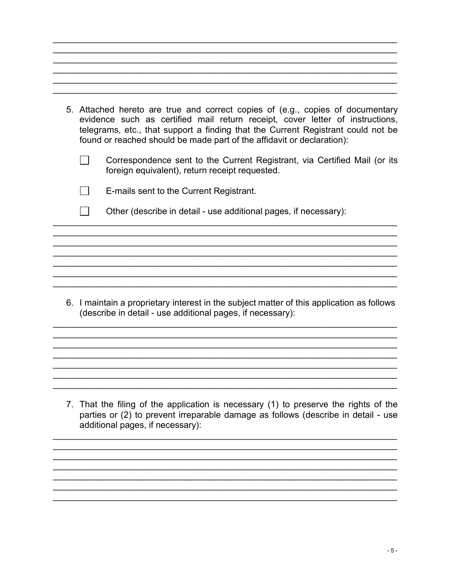| 5. Attached hereto are true and correct copies of (e.g., copies of documentary<br>evidence such as certified mail return receipt, cover letter of instructions,<br>telegrams, etc., that support a finding that the Current Registrant could not be<br>found or reached should be made part of the affidavit or declaration): |                                                                                                                             |  |  |  |
|-------------------------------------------------------------------------------------------------------------------------------------------------------------------------------------------------------------------------------------------------------------------------------------------------------------------------------|-----------------------------------------------------------------------------------------------------------------------------|--|--|--|
|                                                                                                                                                                                                                                                                                                                               | Correspondence sent to the Current Registrant, via Certified Mail (or its<br>foreign equivalent), return receipt requested. |  |  |  |
|                                                                                                                                                                                                                                                                                                                               | E-mails sent to the Current Registrant.                                                                                     |  |  |  |
|                                                                                                                                                                                                                                                                                                                               | Other (describe in detail - use additional pages, if necessary):                                                            |  |  |  |
|                                                                                                                                                                                                                                                                                                                               |                                                                                                                             |  |  |  |
|                                                                                                                                                                                                                                                                                                                               |                                                                                                                             |  |  |  |

6. I maintain a proprietary interest in the subject matter of this application as follows (describe in detail - use additional pages, if necessary):

7. That the filing of the application is necessary (1) to preserve the rights of the parties or (2) to prevent irreparable damage as follows (describe in detail - use additional pages, if necessary):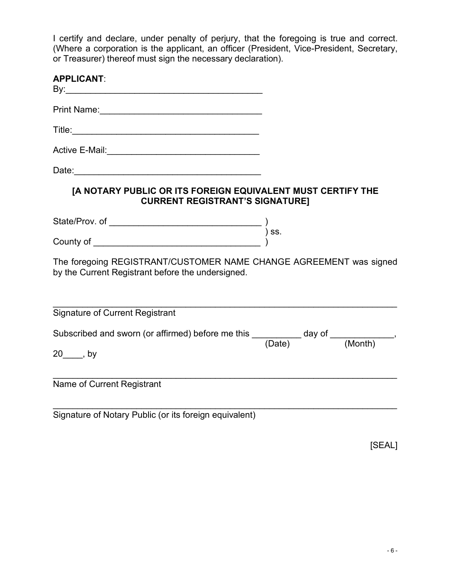I certify and declare, under penalty of perjury, that the foregoing is true and correct. (Where a corporation is the applicant, an officer (President, Vice-President, Secretary, or Treasurer) thereof must sign the necessary declaration).

| <b>APPLICANT:</b>                                                                                                              |  |        |
|--------------------------------------------------------------------------------------------------------------------------------|--|--------|
|                                                                                                                                |  |        |
|                                                                                                                                |  |        |
|                                                                                                                                |  |        |
|                                                                                                                                |  |        |
| [A NOTARY PUBLIC OR ITS FOREIGN EQUIVALENT MUST CERTIFY THE<br><b>CURRENT REGISTRANT'S SIGNATURE]</b>                          |  |        |
|                                                                                                                                |  |        |
|                                                                                                                                |  |        |
| The foregoing REGISTRANT/CUSTOMER NAME CHANGE AGREEMENT was signed<br>by the Current Registrant before the undersigned.        |  |        |
| <b>Signature of Current Registrant</b>                                                                                         |  |        |
| Subscribed and sworn (or affirmed) before me this $\frac{\phantom{+}}{\phantom{+}}$ day of $\frac{\phantom{+}}{\phantom{+}}$ . |  |        |
| 20_____, by                                                                                                                    |  |        |
| Name of Current Registrant                                                                                                     |  |        |
| Signature of Notary Public (or its foreign equivalent)                                                                         |  |        |
|                                                                                                                                |  | [SEAL] |